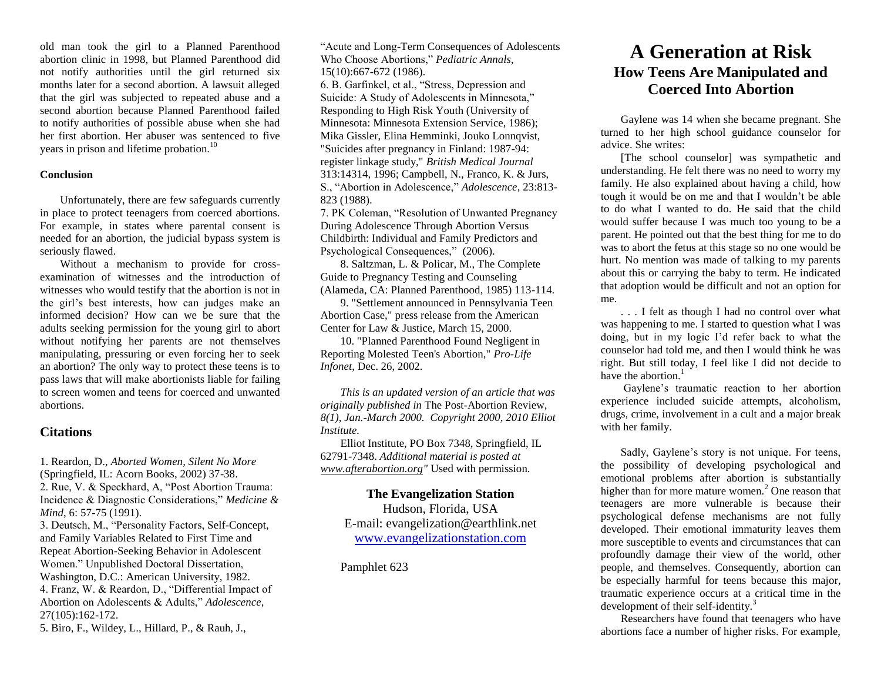old man took the girl to a Planned Parenthood abortion clinic in 1998, but Planned Parenthood did not notify authorities until the girl returned six months later for a second abortion. A lawsuit alleged that the girl was subjected to repeated abuse and a second abortion because Planned Parenthood failed to notify authorities of possible abuse when she had her first abortion. Her abuser was sentenced to five years in prison and lifetime probation.<sup>10</sup>

### **Conclusion**

Unfortunately, there are few safeguards currently in place to protect teenagers from coerced abortions. For example, in states where parental consent is needed for an abortion, the judicial bypass system is seriously flawed.

Without a mechanism to provide for crossexamination of witnesses and the introduction of witnesses who would testify that the abortion is not in the girl's best interests, how can judges make an informed decision? How can we be sure that the adults seeking permission for the young girl to abort without notifying her parents are not themselves manipulating, pressuring or even forcing her to seek an abortion? The only way to protect these teens is to pass laws that will make abortionists liable for failing to screen women and teens for coerced and unwanted abortions.

## **Citations**

1. Reardon, D., *Aborted Women, Silent No More* (Springfield, IL: Acorn Books, 2002) 37-38. 2. Rue, V. & Speckhard, A, "Post Abortion Trauma: Incidence & Diagnostic Considerations," *Medicine & Mind*, 6: 57-75 (1991).

3. Deutsch, M., "Personality Factors, Self-Concept, and Family Variables Related to First Time and Repeat Abortion-Seeking Behavior in Adolescent Women." Unpublished Doctoral Dissertation, Washington, D.C.: American University, 1982. 4. Franz, W. & Reardon, D., "Differential Impact of Abortion on Adolescents & Adults," *Adolescence*, 27(105):162-172.

5. Biro, F., Wildey, L., Hillard, P., & Rauh, J.,

"Acute and Long-Term Consequences of Adolescents Who Choose Abortions," *Pediatric Annals*, 15(10):667-672 (1986).

6. B. Garfinkel, et al., "Stress, Depression and Suicide: A Study of Adolescents in Minnesota," Responding to High Risk Youth (University of Minnesota: Minnesota Extension Service, 1986); Mika Gissler, Elina Hemminki, Jouko Lonnqvist, "Suicides after pregnancy in Finland: 1987-94: register linkage study," *British Medical Journal* 313:14314, 1996; Campbell, N., Franco, K. & Jurs, S., "Abortion in Adolescence," *Adolescence*, 23:813- 823 (1988).

7. PK Coleman, "Resolution of Unwanted Pregnancy During Adolescence Through Abortion Versus Childbirth: Individual and Family Predictors and Psychological Consequences," (2006).

8. Saltzman, L. & Policar, M., The Complete Guide to Pregnancy Testing and Counseling (Alameda, CA: Planned Parenthood, 1985) 113-114.

9. "Settlement announced in Pennsylvania Teen Abortion Case," press release from the American Center for Law & Justice, March 15, 2000.

10. "Planned Parenthood Found Negligent in Reporting Molested Teen's Abortion," *Pro-Life Infonet*, Dec. 26, 2002.

*This is an updated version of an article that was originally published in* The Post-Abortion Review*, 8(1), Jan.-March 2000. Copyright 2000, 2010 Elliot Institute.* 

Elliot Institute, PO Box 7348, Springfield, IL 62791-7348. *Additional material is posted at [www.afterabortion.org"](http://www.afterabortion.org/)* Used with permission.

## **The Evangelization Station** Hudson, Florida, USA E-mail: evangelization@earthlink.net

[www.evangelizationstation.com](http://www.pjpiisoe.org/)

Pamphlet 623

# **A Generation at Risk How Teens Are Manipulated and Coerced Into Abortion**

Gaylene was 14 when she became pregnant. She turned to her high school guidance counselor for advice. She writes:

[The school counselor] was sympathetic and understanding. He felt there was no need to worry my family. He also explained about having a child, how tough it would be on me and that I wouldn't be able to do what I wanted to do. He said that the child would suffer because I was much too young to be a parent. He pointed out that the best thing for me to do was to abort the fetus at this stage so no one would be hurt. No mention was made of talking to my parents about this or carrying the baby to term. He indicated that adoption would be difficult and not an option for me.

. . . I felt as though I had no control over what was happening to me. I started to question what I was doing, but in my logic I'd refer back to what the counselor had told me, and then I would think he was right. But still today, I feel like I did not decide to have the abortion. $<sup>1</sup>$ </sup>

Gaylene's traumatic reaction to her abortion experience included suicide attempts, alcoholism, drugs, crime, involvement in a cult and a major break with her family.

Sadly, Gaylene's story is not unique. For teens, the possibility of developing psychological and emotional problems after abortion is substantially higher than for more mature women.<sup>2</sup> One reason that teenagers are more vulnerable is because their psychological defense mechanisms are not fully developed. Their emotional immaturity leaves them more susceptible to events and circumstances that can profoundly damage their view of the world, other people, and themselves. Consequently, abortion can be especially harmful for teens because this major, traumatic experience occurs at a critical time in the development of their self-identity.<sup>3</sup>

Researchers have found that teenagers who have abortions face a number of higher risks. For example,